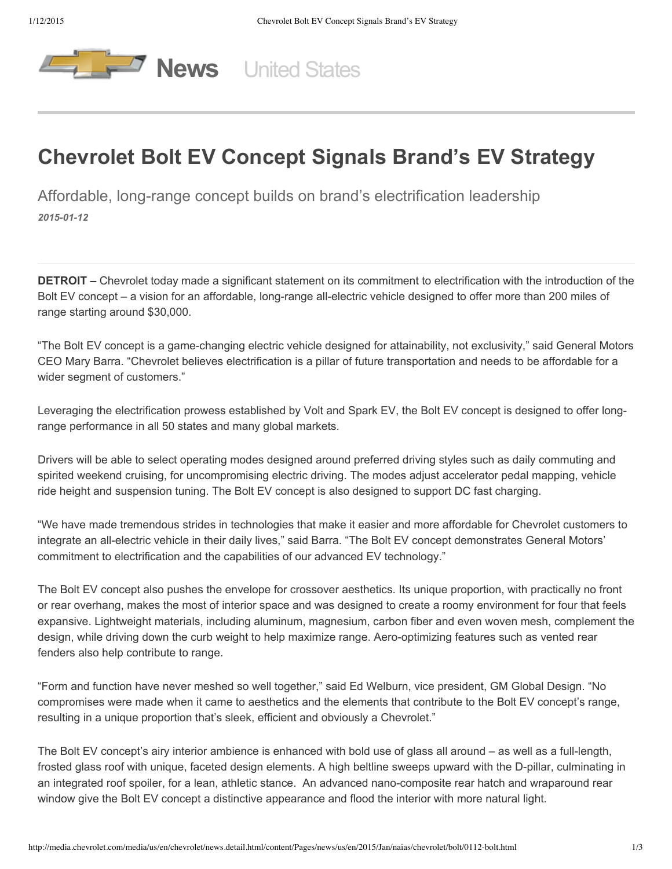

# **Chevrolet Bolt EV Concept Signals Brand's EV Strategy**

Affordable, long-range concept builds on brand's electrification leadership *20150112*

**DETROIT –** Chevrolet today made a significant statement on its commitment to electrification with the introduction of the Bolt EV concept – a vision for an affordable, long-range all-electric vehicle designed to offer more than 200 miles of range starting around \$30,000.

"The Bolt EV concept is a game-changing electric vehicle designed for attainability, not exclusivity," said General Motors CEO Mary Barra. "Chevrolet believes electrification is a pillar of future transportation and needs to be affordable for a wider segment of customers."

Leveraging the electrification prowess established by Volt and Spark EV, the Bolt EV concept is designed to offer longrange performance in all 50 states and many global markets.

Drivers will be able to select operating modes designed around preferred driving styles such as daily commuting and spirited weekend cruising, for uncompromising electric driving. The modes adjust accelerator pedal mapping, vehicle ride height and suspension tuning. The Bolt EV concept is also designed to support DC fast charging.

"We have made tremendous strides in technologies that make it easier and more affordable for Chevrolet customers to integrate an all-electric vehicle in their daily lives," said Barra. "The Bolt EV concept demonstrates General Motors' commitment to electrification and the capabilities of our advanced EV technology."

The Bolt EV concept also pushes the envelope for crossover aesthetics. Its unique proportion, with practically no front or rear overhang, makes the most of interior space and was designed to create a roomy environment for four that feels expansive. Lightweight materials, including aluminum, magnesium, carbon fiber and even woven mesh, complement the design, while driving down the curb weight to help maximize range. Aero-optimizing features such as vented rear fenders also help contribute to range.

"Form and function have never meshed so well together," said Ed Welburn, vice president, GM Global Design. "No compromises were made when it came to aesthetics and the elements that contribute to the Bolt EV concept's range, resulting in a unique proportion that's sleek, efficient and obviously a Chevrolet."

The Bolt EV concept's airy interior ambience is enhanced with bold use of glass all around – as well as a full-length, frosted glass roof with unique, faceted design elements. A high beltline sweeps upward with the D-pillar, culminating in an integrated roof spoiler, for a lean, athletic stance. An advanced nano-composite rear hatch and wraparound rear window give the Bolt EV concept a distinctive appearance and flood the interior with more natural light.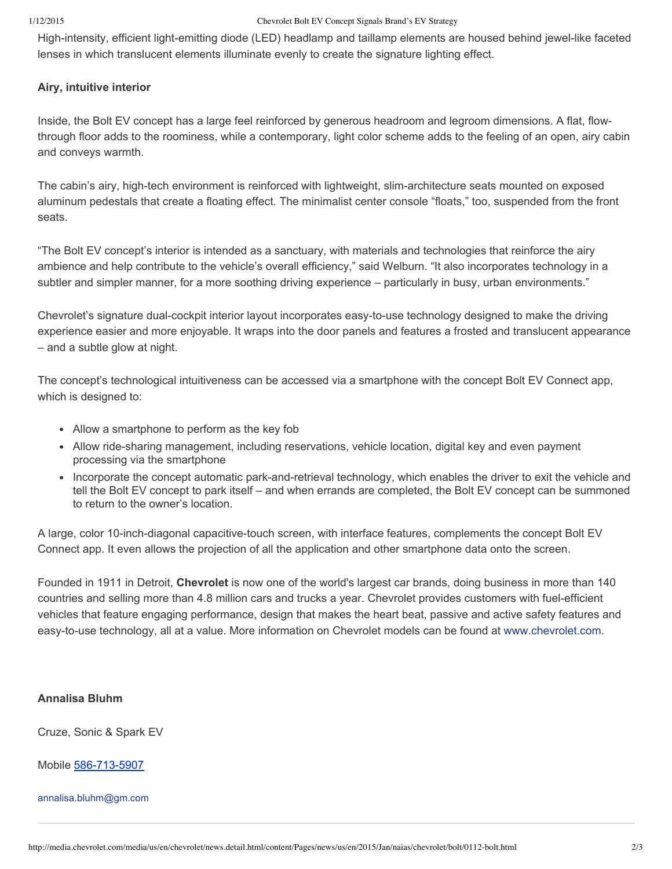#### 1/12/2015 Chevrolet Bolt EV Concept Signals Brand's EV Strategy

High-intensity, efficient light-emitting diode (LED) headlamp and taillamp elements are housed behind jewel-like faceted lenses in which translucent elements illuminate evenly to create the signature lighting effect.

### **Airy, intuitive interior**

Inside, the Bolt EV concept has a large feel reinforced by generous headroom and legroom dimensions. A flat, flowthrough floor adds to the roominess, while a contemporary, light color scheme adds to the feeling of an open, airy cabin and conveys warmth.

The cabin's airy, high-tech environment is reinforced with lightweight, slim-architecture seats mounted on exposed aluminum pedestals that create a floating effect. The minimalist center console "floats," too, suspended from the front seats.

"The Bolt EV concept's interior is intended as a sanctuary, with materials and technologies that reinforce the airy ambience and help contribute to the vehicle's overall efficiency," said Welburn. "It also incorporates technology in a subtler and simpler manner, for a more soothing driving experience – particularly in busy, urban environments."

Chevrolet's signature dual-cockpit interior layout incorporates easy-to-use technology designed to make the driving experience easier and more enjoyable. It wraps into the door panels and features a frosted and translucent appearance – and a subtle glow at night.

The concept's technological intuitiveness can be accessed via a smartphone with the concept Bolt EV Connect app, which is designed to:

- Allow a smartphone to perform as the key fob
- Allow ride-sharing management, including reservations, vehicle location, digital key and even payment processing via the smartphone
- Incorporate the concept automatic park-and-retrieval technology, which enables the driver to exit the vehicle and tell the Bolt EV concept to park itself – and when errands are completed, the Bolt EV concept can be summoned to return to the owner's location.

A large, color 10-inch-diagonal capacitive-touch screen, with interface features, complements the concept Bolt EV Connect app. It even allows the projection of all the application and other smartphone data onto the screen.

Founded in 1911 in Detroit, **Chevrolet** is now one of the world's largest car brands, doing business in more than 140 countries and selling more than 4.8 million cars and trucks a year. Chevrolet provides customers with fuel-efficient vehicles that feature engaging performance, design that makes the heart beat, passive and active safety features and easy-to-use technology, all at a value. More information on Chevrolet models can be found at [www.chevrolet.com.](http://www.chevrolet.com/)

#### **Annalisa Bluhm**

Cruze, Sonic & Spark EV

Mobile 586-713-5907

[annalisa.bluhm@gm.com](mailto:annalisa.bluhm@gm.com?Subject=GM%20Media%20Online)